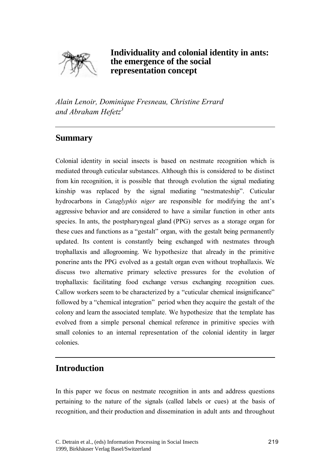

**Individuality and colonial identity in ants: the emergence of the social representation concept**

*Alain Lenoir, Dominique Fresneau, Christine Errard and Abraham Hefetz<sup>3</sup>*

# **Summary**

Colonial identity in social insects is based on nestmate recognition which is mediated through cuticular substances. Although this is considered to be distinct from kin recognition, it is possible that through evolution the signal mediating kinship was replaced by the signal mediating "nestmateship". Cuticular hydrocarbons in *Cataglyphis niger* are responsible for modifying the ant's aggressive behavior and are considered to have a similar function in other ants species. In ants, the postpharyngeal gland (PPG) serves as a storage organ for these cues and functions as a "gestalt" organ, with the gestalt being permanently updated. Its content is constantly being exchanged with nestmates through trophallaxis and allogrooming. We hypothesize that already in the primitive ponerine ants the PPG evolved as a gestalt organ even without trophallaxis. We discuss two alternative primary selective pressures for the evolution of trophallaxis: facilitating food exchange versus exchanging recognition cues. Callow workers seem to be characterized by a "cuticular chemical insignificance" followed by a "chemical integration" period when they acquire the gestalt of the colony and learn the associated template. We hypothesize that the template has evolved from a simple personal chemical reference in primitive species with small colonies to an internal representation of the colonial identity in larger colonies.

# **Introduction**

In this paper we focus on nestmate recognition in ants and address questions pertaining to the nature of the signals (called labels or cues) at the basis of recognition, and their production and dissemination in adult ants and throughout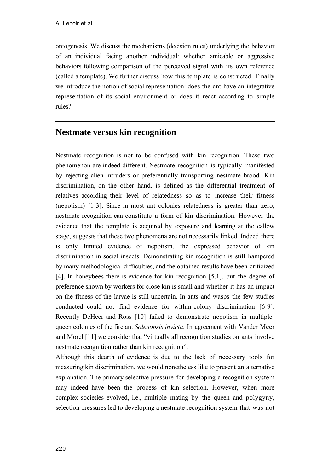ontogenesis. We discuss the mechanisms (decision rules) underlying the behavior of an individual facing another individual: whether amicable or aggressive behaviors following comparison of the perceived signal with its own reference (called a template). We further discuss how this template is constructed. Finally we introduce the notion of social representation: does the ant have an integrative representation of its social environment or does it react according to simple rules?

### **Nestmate versus kin recognition**

Nestmate recognition is not to be confused with kin recognition. These two phenomenon are indeed different. Nestmate recognition is typically manifested by rejecting alien intruders or preferentially transporting nestmate brood. Kin discrimination, on the other hand, is defined as the differential treatment of relatives according their level of relatedness so as to increase their fitness (nepotism) [1-3]. Since in most ant colonies relatedness is greater than zero, nestmate recognition can constitute a form of kin discrimination. However the evidence that the template is acquired by exposure and learning at the callow stage, suggests that these two phenomena are not necessarily linked. Indeed there is only limited evidence of nepotism, the expressed behavior of kin discrimination in social insects. Demonstrating kin recognition is still hampered by many methodological difficulties, and the obtained results have been criticized [4]. In honeybees there is evidence for kin recognition [5,1], but the degree of preference shown by workers for close kin is small and whether it has an impact on the fitness of the larvae is still uncertain. In ants and wasps the few studies conducted could not find evidence for within-colony discrimination [6-9]. Recently DeHeer and Ross [10] failed to demonstrate nepotism in multiplequeen colonies of the fire ant *Solenopsis invicta*. In agreement with Vander Meer and Morel [11] we consider that "virtually all recognition studies on ants involve nestmate recognition rather than kin recognition".

Although this dearth of evidence is due to the lack of necessary tools for measuring kin discrimination, we would nonetheless like to present an alternative explanation. The primary selective pressure for developing a recognition system may indeed have been the process of kin selection. However, when more complex societies evolved, i.e., multiple mating by the queen and polygyny, selection pressures led to developing a nestmate recognition system that was not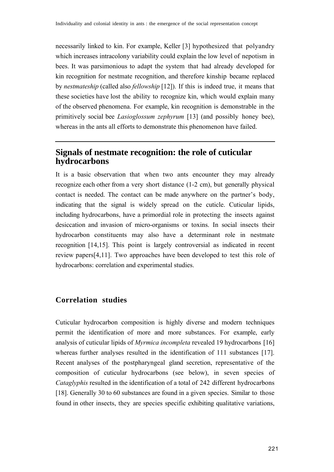necessarily linked to kin. For example, Keller [3] hypothesized that polyandry which increases intracolony variability could explain the low level of nepotism in bees. It was parsimonious to adapt the system that had already developed for kin recognition for nestmate recognition, and therefore kinship became replaced by *nestmateship* (called also *fellowship* [12]). If this is indeed true, it means that these societies have lost the ability to recognize kin, which would explain many of the observed phenomena. For example, kin recognition is demonstrable in the primitively social bee *Lasioglossum zephyrum* [13] (and possibly honey bee), whereas in the ants all efforts to demonstrate this phenomenon have failed.

## **Signals of nestmate recognition: the role of cuticular hydrocarbons**

It is a basic observation that when two ants encounter they may already recognize each other from a very short distance (1-2 cm), but generally physical contact is needed. The contact can be made anywhere on the partner's body, indicating that the signal is widely spread on the cuticle. Cuticular lipids, including hydrocarbons, have a primordial role in protecting the insects against desiccation and invasion of micro-organisms or toxins. In social insects their hydrocarbon constituents may also have a determinant role in nestmate recognition [14,15]. This point is largely controversial as indicated in recent review papers[4,11]. Two approaches have been developed to test this role of hydrocarbons: correlation and experimental studies.

#### **Correlation studies**

Cuticular hydrocarbon composition is highly diverse and modern techniques permit the identification of more and more substances. For example, early analysis of cuticular lipids of *Myrmica incompleta* revealed 19 hydrocarbons [16] whereas further analyses resulted in the identification of 111 substances [17]. Recent analyses of the postpharyngeal gland secretion, representative of the composition of cuticular hydrocarbons (see below), in seven species of *Cataglyphis* resulted in the identification of a total of 242 different hydrocarbons [18]. Generally 30 to 60 substances are found in a given species. Similar to those found in other insects, they are species specific exhibiting qualitative variations,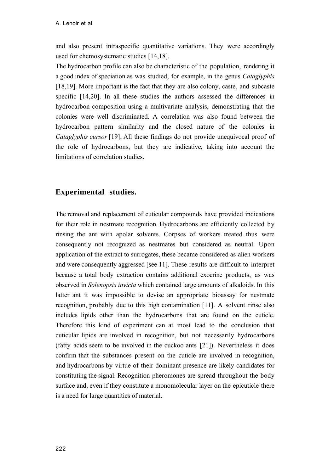and also present intraspecific quantitative variations. They were accordingly used for chemosystematic studies [14,18].

The hydrocarbon profile can also be characteristic of the population, rendering it a good index of speciation as was studied, for example, in the genus *Cataglyphis* [18,19]. More important is the fact that they are also colony, caste, and subcaste specific [14,20]. In all these studies the authors assessed the differences in hydrocarbon composition using a multivariate analysis, demonstrating that the colonies were well discriminated. A correlation was also found between the hydrocarbon pattern similarity and the closed nature of the colonies in *Cataglyphis cursor* [19]. All these findings do not provide unequivocal proof of the role of hydrocarbons, but they are indicative, taking into account the limitations of correlation studies.

### **Experimental studies.**

The removal and replacement of cuticular compounds have provided indications for their role in nestmate recognition. Hydrocarbons are efficiently collected by rinsing the ant with apolar solvents. Corpses of workers treated thus were consequently not recognized as nestmates but considered as neutral. Upon application of the extract to surrogates, these became considered as alien workers and were consequently aggressed [see 11]. These results are difficult to interpret because a total body extraction contains additional exocrine products, as was observed in *Solenopsis invicta* which contained large amounts of alkaloids. In this latter ant it was impossible to devise an appropriate bioassay for nestmate recognition, probably due to this high contamination [11]. A solvent rinse also includes lipids other than the hydrocarbons that are found on the cuticle. Therefore this kind of experiment can at most lead to the conclusion that cuticular lipids are involved in recognition, but not necessarily hydrocarbons (fatty acids seem to be involved in the cuckoo ants [21]). Nevertheless it does confirm that the substances present on the cuticle are involved in recognition, and hydrocarbons by virtue of their dominant presence are likely candidates for constituting the signal. Recognition pheromones are spread throughout the body surface and, even if they constitute a monomolecular layer on the epicuticle there is a need for large quantities of material.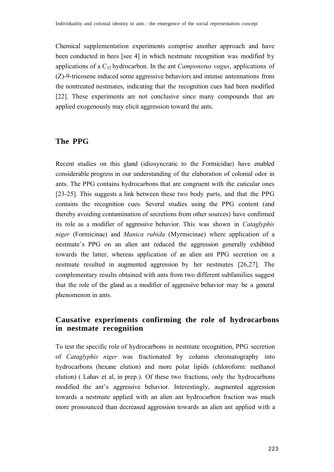Chemical supplementation experiments comprise another approach and have been conducted in bees [see 4] in which nestmate recognition was modified by applications of a  $C_{32}$  hydrocarbon. In the ant *Camponotus vagus*, applications of (Z)-9-tricosene induced some aggressive behaviors and intense antennations from the nontreated nestmates, indicating that the recognition cues had been modified [22]. These experiments are not conclusive since many compounds that are applied exogenously may elicit aggression toward the ants.

#### **The PPG**

Recent studies on this gland (idiosyncratic to the Formicidae) have enabled considerable progress in our understanding of the elaboration of colonial odor in ants. The PPG contains hydrocarbons that are congruent with the cuticular ones [23-25]. This suggests a link between these two body parts, and that the PPG contains the recognition cues. Several studies using the PPG content (and thereby avoiding contamination of secretions from other sources) have confirmed its role as a modifier of aggressive behavior. This was shown in *Cataglyphis niger* (Formicinae) and *Manica rubida* (Myrmicinae) where application of a nestmate's PPG on an alien ant reduced the aggression generally exhibited towards the latter, whereas application of an alien ant PPG secretion on a nestmate resulted in augmented aggression by her nestmates [26,27]. The complementary results obtained with ants from two different subfamilies suggest that the role of the gland as a modifier of aggressive behavior may be a general phenomenon in ants.

#### **Causative experiments confirming the role of hydrocarbons in nestmate recognition**

To test the specific role of hydrocarbons in nestmate recognition, PPG secretion of *Cataglyphis niger* was fractionated by column chromatography into hydrocarbons (hexane elution) and more polar lipids (chloroform: methanol elution) ( Lahav et al, in prep.). Of these two fractions, only the hydrocarbons modified the ant's aggressive behavior. Interestingly, augmented aggression towards a nestmate applied with an alien ant hydrocarbon fraction was much more pronounced than decreased aggression towards an alien ant applied with a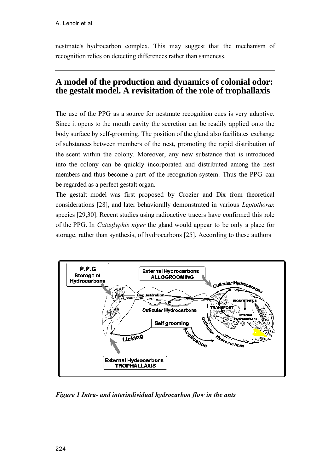nestmate's hydrocarbon complex. This may suggest that the mechanism of recognition relies on detecting differences rather than sameness.

# **A model of the production and dynamics of colonial odor: the gestalt model. A revisitation of the role of trophallaxis**

The use of the PPG as a source for nestmate recognition cues is very adaptive. Since it opens to the mouth cavity the secretion can be readily applied onto the body surface by self-grooming. The position of the gland also facilitates exchange of substances between members of the nest, promoting the rapid distribution of the scent within the colony. Moreover, any new substance that is introduced into the colony can be quickly incorporated and distributed among the nest members and thus become a part of the recognition system. Thus the PPG can be regarded as a perfect gestalt organ.

The gestalt model was first proposed by Crozier and Dix from theoretical considerations [28], and later behaviorally demonstrated in various *Leptothorax* species [29,30]. Recent studies using radioactive tracers have confirmed this role of the PPG. In *Cataglyphis niger* the gland would appear to be only a place for storage, rather than synthesis, of hydrocarbons [25]. According to these authors



*Figure 1 Intra- and interindividual hydrocarbon flow in the ants*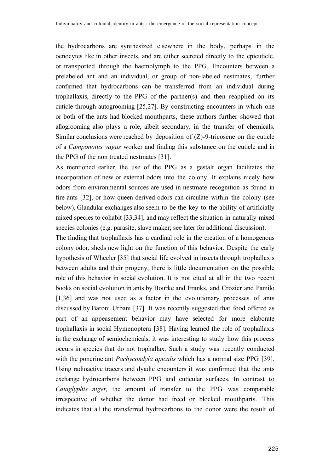the hydrocarbons are synthesized elsewhere in the body, perhaps in the oenocytes like in other insects, and are either secreted directly to the epicuticle, or transported through the haemolymph to the PPG. Encounters between a prelabeled ant and an individual, or group of non-labeled nestmates, further confirmed that hydrocarbons can be transferred from an individual during trophallaxis, directly to the PPG of the partner(s) and then reapplied on its cuticle through autogrooming [25,27]. By constructing encounters in which one or both of the ants had blocked mouthparts, these authors further showed that allogrooming also plays a role, albeit secondary, in the transfer of chemicals. Similar conclusions were reached by deposition of  $(Z)$ -9-tricosene on the cuticle of a *Camponotus vagus* worker and finding this substance on the cuticle and in the PPG of the non treated nestmates [31].

As mentioned earlier, the use of the PPG as a gestalt organ facilitates the incorporation of new or external odors into the colony. It explains nicely how odors from environmental sources are used in nestmate recognition as found in fire ants [32], or how queen derived odors can circulate within the colony (see below). Glandular exchanges also seem to be the key to the ability of artificially mixed species to cohabit [33,34], and may reflect the situation in naturally mixed species colonies (e.g. parasite, slave maker; see later for additional discussion).

The finding that trophallaxis has a cardinal role in the creation of a homogenous colony odor, sheds new light on the function of this behavior. Despite the early hypothesis of Wheeler [35] that social life evolved in insects through trophallaxis between adults and their progeny, there is little documentation on the possible role of this behavior in social evolution. It is not cited at all in the two recent books on social evolution in ants by Bourke and Franks, and Crozier and Pamilo [1,36] and was not used as a factor in the evolutionary processes of ants discussed by Baroni Urbani [37]. It was recently suggested that food offered as part of an appeasement behavior may have selected for more elaborate trophallaxis in social Hymenoptera [38]. Having learned the role of trophallaxis in the exchange of semiochemicals, it was interesting to study how this process occurs in species that do not trophallax. Such a study was recently conducted with the ponerine ant *Pachycondyla apicalis* which has a normal size PPG [39]*.* Using radioactive tracers and dyadic encounters it was confirmed that the ants exchange hydrocarbons between PPG and cuticular surfaces. In contrast to *Cataglyphis niger,* the amount of transfer to the PPG was comparable irrespective of whether the donor had freed or blocked mouthparts. This indicates that all the transferred hydrocarbons to the donor were the result of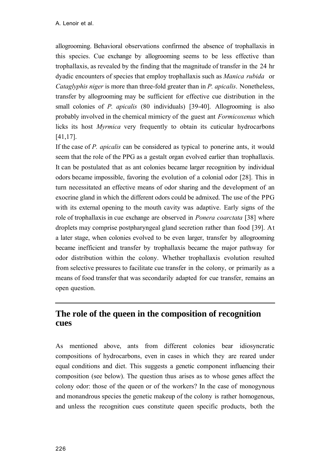allogrooming. Behavioral observations confirmed the absence of trophallaxis in this species. Cue exchange by allogrooming seems to be less effective than trophallaxis, as revealed by the finding that the magnitude of transfer in the 24 hr dyadic encounters of species that employ trophallaxis such as *Manica rubida* or *Cataglyphis niger* is more than three-fold greater than in *P. apicalis*. Nonetheless, transfer by allogrooming may be sufficient for effective cue distribution in the small colonies of *P. apicalis* (80 individuals) [39-40]. Allogrooming is also probably involved in the chemical mimicry of the guest ant *Formicoxenus* which licks its host *Myrmica* very frequently to obtain its cuticular hydrocarbons [41,17].

If the case of *P. apicalis* can be considered as typical to ponerine ants, it would seem that the role of the PPG as a gestalt organ evolved earlier than trophallaxis. It can be postulated that as ant colonies became larger recognition by individual odors became impossible, favoring the evolution of a colonial odor [28]. This in turn necessitated an effective means of odor sharing and the development of an exocrine gland in which the different odors could be admixed. The use of the PPG with its external opening to the mouth cavity was adaptive. Early signs of the role of trophallaxis in cue exchange are observed in *Ponera coarctata* [38] where droplets may comprise postpharyngeal gland secretion rather than food [39]. At a later stage, when colonies evolved to be even larger, transfer by allogrooming became inefficient and transfer by trophallaxis became the major pathway for odor distribution within the colony. Whether trophallaxis evolution resulted from selective pressures to facilitate cue transfer in the colony, or primarily as a means of food transfer that was secondarily adapted for cue transfer, remains an open question.

## **The role of the queen in the composition of recognition cues**

As mentioned above, ants from different colonies bear idiosyncratic compositions of hydrocarbons, even in cases in which they are reared under equal conditions and diet. This suggests a genetic component influencing their composition (see below). The question thus arises as to whose genes affect the colony odor: those of the queen or of the workers? In the case of monogynous and monandrous species the genetic makeup of the colony is rather homogenous, and unless the recognition cues constitute queen specific products, both the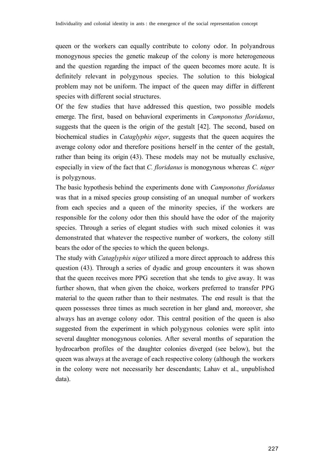queen or the workers can equally contribute to colony odor. In polyandrous monogynous species the genetic makeup of the colony is more heterogeneous and the question regarding the impact of the queen becomes more acute. It is definitely relevant in polygynous species. The solution to this biological problem may not be uniform. The impact of the queen may differ in different species with different social structures.

Of the few studies that have addressed this question, two possible models emerge. The first, based on behavioral experiments in *Camponotus floridanus*, suggests that the queen is the origin of the gestalt [42]. The second, based on biochemical studies in *Cataglyphis niger*, suggests that the queen acquires the average colony odor and therefore positions herself in the center of the gestalt, rather than being its origin (43). These models may not be mutually exclusive, especially in view of the fact that *C. floridanus* is monogynous whereas *C. niger* is polygynous.

The basic hypothesis behind the experiments done with *Camponotus floridanus* was that in a mixed species group consisting of an unequal number of workers from each species and a queen of the minority species, if the workers are responsible for the colony odor then this should have the odor of the majority species. Through a series of elegant studies with such mixed colonies it was demonstrated that whatever the respective number of workers, the colony still bears the odor of the species to which the queen belongs.

The study with *Cataglyphis niger* utilized a more direct approach to address this question (43). Through a series of dyadic and group encounters it was shown that the queen receives more PPG secretion that she tends to give away. It was further shown, that when given the choice, workers preferred to transfer PPG material to the queen rather than to their nestmates. The end result is that the queen possesses three times as much secretion in her gland and, moreover, she always has an average colony odor. This central position of the queen is also suggested from the experiment in which polygynous colonies were split into several daughter monogynous colonies. After several months of separation the hydrocarbon profiles of the daughter colonies diverged (see below), but the queen was always at the average of each respective colony (although the workers in the colony were not necessarily her descendants; Lahav et al., unpublished data).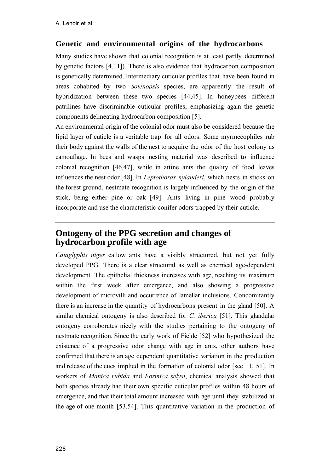### **Genetic and environmental origins of the hydrocarbons**

Many studies have shown that colonial recognition is at least partly determined by genetic factors [4,11]). There is also evidence that hydrocarbon composition is genetically determined. Intermediary cuticular profiles that have been found in areas cohabited by two *Solenopsis* species, are apparently the result of hybridization between these two species [44,45]. In honeybees different patrilines have discriminable cuticular profiles, emphasizing again the genetic components delineating hydrocarbon composition [5].

An environmental origin of the colonial odor must also be considered because the lipid layer of cuticle is a veritable trap for all odors. Some myrmecophiles rub their body against the walls of the nest to acquire the odor of the host colony as camouflage. In bees and wasps nesting material was described to influence colonial recognition [46,47], while in attine ants the quality of food leaves influences the nest odor [48]. In *Leptothorax nylanderi*, which nests in sticks on the forest ground, nestmate recognition is largely influenced by the origin of the stick, being either pine or oak [49]. Ants living in pine wood probably incorporate and use the characteristic conifer odors trapped by their cuticle.

## **Ontogeny of the PPG secretion and changes of hydrocarbon profile with age**

*Cataglyphis niger* callow ants have a visibly structured, but not yet fully developed PPG. There is a clear structural as well as chemical age-dependent development. The epithelial thickness increases with age, reaching its maximum within the first week after emergence, and also showing a progressive development of microvilli and occurrence of lamellar inclusions. Concomitantly there is an increase in the quantity of hydrocarbons present in the gland [50]. A similar chemical ontogeny is also described for *C. iberica* [51]. This glandular ontogeny corroborates nicely with the studies pertaining to the ontogeny of nestmate recognition. Since the early work of Fielde [52] who hypothesized the existence of a progressive odor change with age in ants, other authors have confirmed that there is an age dependent quantitative variation in the production and release of the cues implied in the formation of colonial odor [see 11, 51]. In workers of *Manica rubida* and *Formica selysi*, chemical analysis showed that both species already had their own specific cuticular profiles within 48 hours of emergence, and that their total amount increased with age until they stabilized at the age of one month [53,54]. This quantitative variation in the production of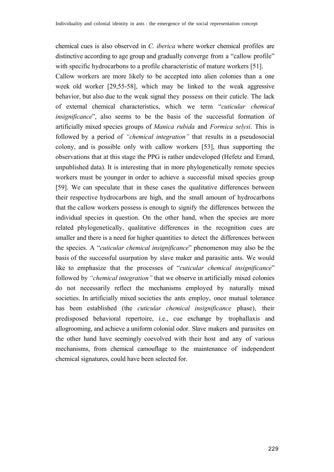chemical cues is also observed in *C. iberica* where worker chemical profiles are distinctive according to age group and gradually converge from a "callow profile" with specific hydrocarbons to a profile characteristic of mature workers [51].

Callow workers are more likely to be accepted into alien colonies than a one week old worker [29,55-58], which may be linked to the weak aggressive behavior, but also due to the weak signal they possess on their cuticle. The lack of external chemical characteristics, which we term "*cuticular chemical insignificance*", also seems to be the basis of the successful formation of artificially mixed species groups of *Manica rubida* and *Formica selysi*. This is followed by a period of *"chemical integration"* that results in a pseudosocial colony, and is possible only with callow workers [53], thus supporting the observations that at this stage the PPG is rather undeveloped (Hefetz and Errard, unpublished data). It is interesting that in more phylogenetically remote species workers must be younger in order to achieve a successful mixed species group [59]. We can speculate that in these cases the qualitative differences between their respective hydrocarbons are high, and the small amount of hydrocarbons that the callow workers possess is enough to signify the differences between the individual species in question. On the other hand, when the species are more related phylogenetically, qualitative differences in the recognition cues are smaller and there is a need for higher quantities to detect the differences between the species. A "*cuticular chemical insignificance*" phenomenon may also be the basis of the successful usurpation by slave maker and parasitic ants. We would like to emphasize that the processes of "*cuticular chemical insignificance*" followed by *"chemical integration"* that we observe in artificially mixed colonies do not necessarily reflect the mechanisms employed by naturally mixed societies. In artificially mixed societies the ants employ, once mutual tolerance has been established (the *cuticular chemical insignificance* phase), their predisposed behavioral repertoire, i.e., cue exchange by trophallaxis and allogrooming, and achieve a uniform colonial odor. Slave makers and parasites on the other hand have seemingly coevolved with their host and any of various mechanisms, from chemical camouflage to the maintenance of independent chemical signatures, could have been selected for.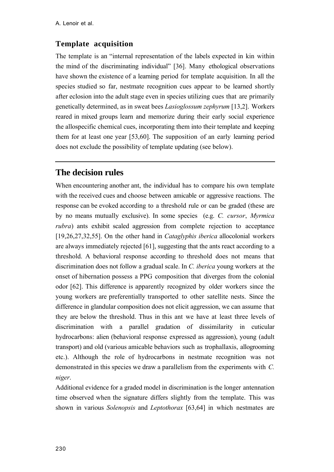#### **Template acquisition**

The template is an "internal representation of the labels expected in kin within the mind of the discriminating individual" [36]. Many ethological observations have shown the existence of a learning period for template acquisition. In all the species studied so far, nestmate recognition cues appear to be learned shortly after eclosion into the adult stage even in species utilizing cues that are primarily genetically determined, as in sweat bees *Lasioglossum zephyrum* [13,2]. Workers reared in mixed groups learn and memorize during their early social experience the allospecific chemical cues, incorporating them into their template and keeping them for at least one year [53,60]. The supposition of an early learning period does not exclude the possibility of template updating (see below).

### **The decision rules**

When encountering another ant, the individual has to compare his own template with the received cues and choose between amicable or aggressive reactions. The response can be evoked according to a threshold rule or can be graded (these are by no means mutually exclusive). In some species (e.g. *C. cursor*, *Myrmica rubra*) ants exhibit scaled aggression from complete rejection to acceptance [19,26,27,32,55]. On the other hand in *Cataglyphis iberica* allocolonial workers are always immediately rejected [61], suggesting that the ants react according to a threshold. A behavioral response according to threshold does not means that discrimination does not follow a gradual scale. In *C. iberica* young workers at the onset of hibernation possess a PPG composition that diverges from the colonial odor [62]. This difference is apparently recognized by older workers since the young workers are preferentially transported to other satellite nests. Since the difference in glandular composition does not elicit aggression, we can assume that they are below the threshold. Thus in this ant we have at least three levels of discrimination with a parallel gradation of dissimilarity in cuticular hydrocarbons: alien (behavioral response expressed as aggression), young (adult transport) and old (various amicable behaviors such as trophallaxis, allogrooming etc.). Although the role of hydrocarbons in nestmate recognition was not demonstrated in this species we draw a parallelism from the experiments with *C. niger*.

Additional evidence for a graded model in discrimination is the longer antennation time observed when the signature differs slightly from the template. This was shown in various *Solenopsis* and *Leptothorax* [63,64] in which nestmates are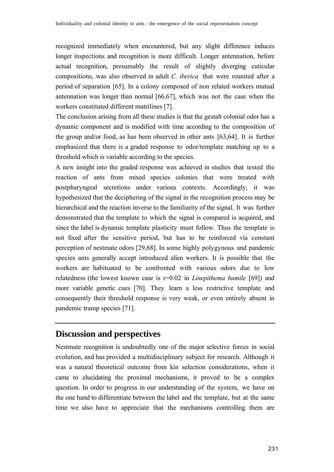recognized immediately when encountered, but any slight difference induces longer inspections and recognition is more difficult. Longer antennation, before actual recognition, presumably the result of slightly diverging cuticular compositions, was also observed in adult *C. iberica* that were reunited after a period of separation [65]. In a colony composed of non related workers mutual antennation was longer than normal [66,67], which was not the case when the workers constituted different matrilines [7].

The conclusion arising from all these studies is that the gestalt colonial odor has a dynamic component and is modified with time according to the composition of the group and/or food, as has been observed in other ants [63,64]. It is further emphasized that there is a graded response to odor/template matching up to a threshold which is variable according to the species.

A new insight into the graded response was achieved in studies that tested the reaction of ants from mixed species colonies that were treated with postpharyngeal secretions under various contexts. Accordingly, it was hypothesized that the deciphering of the signal in the recognition process may be hierarchical and the reaction inverse to the familiarity of the signal. It was further demonstrated that the template to which the signal is compared is acquired, and since the label is dynamic template plasticity must follow. Thus the template is not fixed after the sensitive period, but has to be reinforced via constant perception of nestmate odors [29,68]. In some highly polygynous and pandemic species ants generally accept introduced alien workers. It is possible that the workers are habituated to be confronted with various odors due to low relatedness (the lowest known case is r=0.02 in *Linepithema humile* [69]) and more variable genetic cues [70]. They learn a less restrictive template and consequently their threshold response is very weak, or even entirely absent in pandemic tramp species [71].

## **Discussion and perspectives**

Nestmate recognition is undoubtedly one of the major selective forces in social evolution, and has provided a multidisciplinary subject for research. Although it was a natural theoretical outcome from kin selection considerations, when it came to elucidating the proximal mechanisms, it proved to be a complex question. In order to progress in our understanding of the system, we have on the one hand to differentiate between the label and the template, but at the same time we also have to appreciate that the mechanisms controlling them are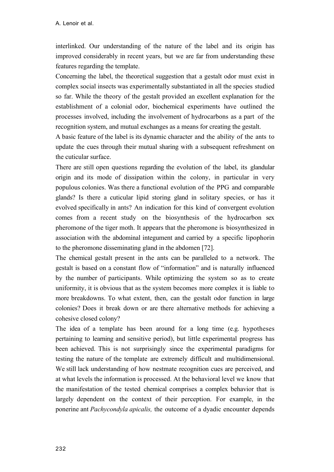interlinked. Our understanding of the nature of the label and its origin has improved considerably in recent years, but we are far from understanding these features regarding the template.

Concerning the label, the theoretical suggestion that a gestalt odor must exist in complex social insects was experimentally substantiated in all the species studied so far. While the theory of the gestalt provided an excellent explanation for the establishment of a colonial odor, biochemical experiments have outlined the processes involved, including the involvement of hydrocarbons as a part of the recognition system, and mutual exchanges as a means for creating the gestalt.

A basic feature of the label is its dynamic character and the ability of the ants to update the cues through their mutual sharing with a subsequent refreshment on the cuticular surface.

There are still open questions regarding the evolution of the label, its glandular origin and its mode of dissipation within the colony, in particular in very populous colonies. Was there a functional evolution of the PPG and comparable glands? Is there a cuticular lipid storing gland in solitary species, or has it evolved specifically in ants? An indication for this kind of convergent evolution comes from a recent study on the biosynthesis of the hydrocarbon sex pheromone of the tiger moth. It appears that the pheromone is biosynthesized in association with the abdominal integument and carried by a specific lipophorin to the pheromone disseminating gland in the abdomen [72].

The chemical gestalt present in the ants can be paralleled to a network. The gestalt is based on a constant flow of "information" and is naturally influenced by the number of participants. While optimizing the system so as to create uniformity, it is obvious that as the system becomes more complex it is liable to more breakdowns. To what extent, then, can the gestalt odor function in large colonies? Does it break down or are there alternative methods for achieving a cohesive closed colony?

The idea of a template has been around for a long time (e.g. hypotheses pertaining to learning and sensitive period), but little experimental progress has been achieved. This is not surprisingly since the experimental paradigms for testing the nature of the template are extremely difficult and multidimensional. We still lack understanding of how nestmate recognition cues are perceived, and at what levels the information is processed. At the behavioral level we know that the manifestation of the tested chemical comprises a complex behavior that is largely dependent on the context of their perception. For example, in the ponerine ant *Pachycondyla apicalis,* the outcome of a dyadic encounter depends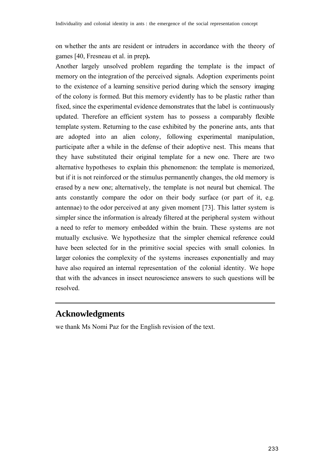on whether the ants are resident or intruders in accordance with the theory of games [40, Fresneau et al. in prep**).**

Another largely unsolved problem regarding the template is the impact of memory on the integration of the perceived signals. Adoption experiments point to the existence of a learning sensitive period during which the sensory imaging of the colony is formed. But this memory evidently has to be plastic rather than fixed, since the experimental evidence demonstrates that the label is continuously updated. Therefore an efficient system has to possess a comparably flexible template system. Returning to the case exhibited by the ponerine ants, ants that are adopted into an alien colony, following experimental manipulation, participate after a while in the defense of their adoptive nest. This means that they have substituted their original template for a new one. There are two alternative hypotheses to explain this phenomenon: the template is memorized, but if it is not reinforced or the stimulus permanently changes, the old memory is erased by a new one; alternatively, the template is not neural but chemical. The ants constantly compare the odor on their body surface (or part of it, e.g. antennae) to the odor perceived at any given moment [73]. This latter system is simpler since the information is already filtered at the peripheral system without a need to refer to memory embedded within the brain. These systems are not mutually exclusive. We hypothesize that the simpler chemical reference could have been selected for in the primitive social species with small colonies. In larger colonies the complexity of the systems increases exponentially and may have also required an internal representation of the colonial identity. We hope that with the advances in insect neuroscience answers to such questions will be resolved.

# **Acknowledgments**

we thank Ms Nomi Paz for the English revision of the text.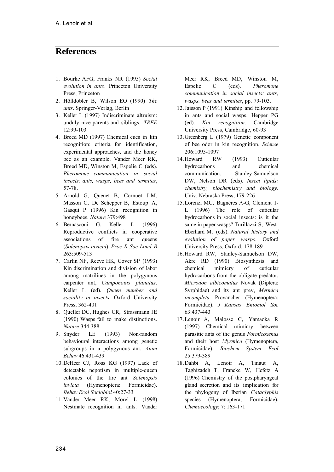## **References**

- 1. Bourke AFG, Franks NR (1995) *Social evolution in ants*. Princeton University Press, Princeton
- 2. Hölldobler B, Wilson EO (1990) *The ants*. Springer-Verlag, Berlin
- 3. Keller L (1997) Indiscriminate altruism: unduly nice parents and siblings. *TREE* 12:99-103
- 4. Breed MD (1997) Chemical cues in kin recognition: criteria for identification, experimental approaches, and the honey bee as an example. Vander Meer RK, Breed MD, Winston M, Espelie C (eds). *Pheromone communication in social insects: ants, wasps, bees and termites*, 57-78.
- 5. Arnold G, Quenet B, Cornuet J-M, Masson C, De Schepper B, Estoup A, Gasqui P (1996) Kin recognition in honeybees. *Nature* 379:498
- 6. Bernasconi G, Keller L (1996) Reproductive conflicts in cooperative associations of fire ant queens (*Solenopsis invicta*). *Proc R Soc Lond B* 263:509-513
- 7. Carlin NF, Reeve HK, Cover SP (1993) Kin discrimination and division of labor among matrilines in the polygynous carpenter ant, *Camponotus planatus*. Keller L (ed). *Queen number and sociality in insects*. Oxford University Press, 362-401
- 8. Queller DC, Hughes CR, Strassmann JE (1990) Wasps fail to make distinctions. *Nature* 344:388
- 9. Snyder LE (1993) Non-random behavioural interactions among genetic subgroups in a polygynous ant. *Anim Behav* 46:431-439
- 10.DeHeer CJ, Ross KG (1997) Lack of detectable nepotism in multiple-queen colonies of the fire ant *Solenopsis invicta* (Hymenoptera: Formicidae). *Behav Ecol Sociobiol* 40:27-33
- 11.Vander Meer RK, Morel L (1998) Nestmate recognition in ants. Vander

Meer RK, Breed MD, Winston M, Espelie C (eds). *Pheromone communication in social insects: ants, wasps, bees and termites*, pp. 79-103.

- 12.Jaisson P (1991) Kinship and fellowship in ants and social wasps. Hepper PG (ed). *Kin recognition*. Cambridge University Press, Cambridge, 60-93
- 13.Greenberg L (1979) Genetic component of bee odor in kin recognition. *Science* 206:1095-1097
- 14.Howard RW (1993) Cuticular hydrocarbons and chemical communication. Stanley-Samuelson DW, Nelson DR (eds). *Insect lipids: chemistry, biochemistry and biology*. Univ. Nebraska Press, 179-226
- 15.Lorenzi MC, Bagnères A-G, Clément J-L (1996) The role of cuticular hydrocarbons in social insects: is it the same in paper wasps? Turillazzi S, West-Eberhard MJ (eds). *Natural history and evolution of paper wasps*. Oxford University Press, Oxford, 178-189
- 16.Howard RW, Stanley-Samuelson DW, Akre RD (1990) Biosynthesis and chemical mimicry of cuticular hydrocarbons from the obligate predator, *Microdon albicomatus* Novak (Diptera: Syrphidae) and its ant prey, *Myrmica incompleta* Provancher (Hymenoptera: Formicidae). *J Kansas Entomol Soc* 63:437-443
- 17.Lenoir A, Malosse C, Yamaoka R (1997) Chemical mimicry between parasitic ants of the genus *Formicoxenus* and their host *Myrmica* (Hymenoptera, Formicidae). *Biochem System Ecol* 25:379-389
- 18.Dahbi A, Lenoir A, Tinaut A, Taghizadeh T, Francke W, Hefetz A (1996) Chemistry of the postpharyngeal gland secretion and its implication for the phylogeny of Iberian *Cataglyphis* species (Hymenoptera, Formicidae). *Chemoecology*; 7: 163-171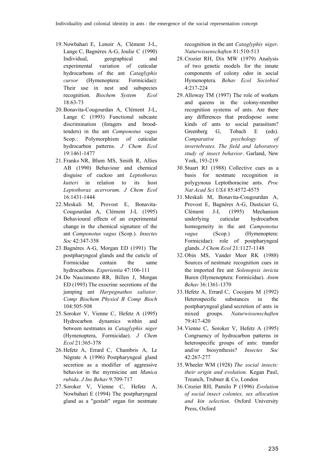- 19.Nowbahari E, Lenoir A, Clément J-L, Lange C, Bagnères A-G, Joulie C (1990) Individual, geographical and experimental variation of cuticular hydrocarbons of the ant *Cataglyphis cursor* (Hymenoptera: Formicidae): Their use in nest and subspecies recognition. *Biochem System Ecol* 18:63-73
- 20.Bonavita-Cougourdan A, Clément J-L, Lange C (1993) Functional subcaste discrimination (foragers and broodtenders) in the ant *Camponotus vagus* Scop.: Polymorphism of cuticular hydrocarbon patterns. *J Chem Ecol* 19:1461-1477
- 21.Franks NR, Blum MS, Smith R, Allies AB (1990) Behaviour and chemical disguise of cuckoo ant *Leptothorax kutteri* in relation to its host *Leptothorax acervorum*. *J Chem Ecol* 16:1431-1444
- 22.Meskali M, Provost E, Bonavita-Cougourdan A, Clément J-L (1995) Behavioural effects of an experimental change in the chemical signature of the ant *Camponotus vagus* (Scop.). *Insectes Soc* 42:347-358
- 23.Bagnères A-G, Morgan ED (1991) The postpharyngeal glands and the cuticle of Formicidae contain the same hydrocarbons. *Experientia* 47:106-111
- 24.Do Nascimento RR, Billen J, Morgan ED (1993) The exocrine secretions of the jumping ant *Harpegnathos saltator*. *Comp Biochem Physiol B Comp Bioch* 104:505-508
- 25.Soroker V, Vienne C, Hefetz A (1995) Hydrocarbon dynamics within and between nestmates in *Cataglyphis niger* (Hymenoptera, Formicidae). *J Chem Ecol* 21:365-378
- 26.Hefetz A, Errard C, Chambris A, Le Négrate A (1996) Postpharyngeal gland secretion as a modifier of aggressive behavior in the myrmicine ant *Manica rubida*. *J Ins Behav* 9:709-717
- 27.Soroker V, Vienne C, Hefetz A, Nowbahari E (1994) The postpharyngeal gland as a "gestalt" organ for nestmate

recognition in the ant *Cataglyphis niger*. *Naturwissenschaften* 81:510-513

- 28.Crozier RH, Dix MW (1979) Analysis of two genetic models for the innate components of colony odor in social Hymenoptera. *Behav Ecol Sociobiol* 4:217-224
- 29.Alloway TM (1997) The role of workers and queens in the colony-member recognition systems of ants. Are there any differences that predispose some kinds of ants to social parasitism? Greenberg G, Tobach E (eds). *Comparative psychology of invertebrates. The field and laboratory study of insect behavior*. Garland, New York, 193-219
- 30.Stuart RJ (1988) Collective cues as a basis for nestmate recognition in polygynous Leptothoracine ants. *Proc Nat Acad Sci USA* 85:4572-4575
- 31.Meskali M, Bonavita-Cougourdan A, Provost E, Bagnères A-G, Dusticier G, Clément J-L (1995) Mechanism underlying cuticular hydrocarbon homogeneity in the ant *Camponotus vagus* (Scop.) (Hymenoptera: Formicidae): role of postpharyngeal glands. *J Chem Ecol* 21:1127-1148
- 32.Obin MS, Vander Meer RK (1988) Sources of nestmate recognition cues in the imported fire ant *Solenopsis invicta* Buren (Hymenoptera: Formicidae). *Anim Behav* 36:1361-1370
- 33.Hefetz A, Errard C, Cocojaru M (1992) Heterospecific substances in the postpharyngeal gland secretion of ants in mixed groups. *Naturwissenschaften* 79:417-420
- 34.Vienne C, Soroker V, Hefetz A (1995) Congruency of hydrocarbon patterns in heterospecific groups of ants: transfer and/or biosynthesis? *Insectes Soc* 42:267-277
- 35.Wheeler WM (1928) *The social insects: their origin and evolution*. Kegan Paul, Treanch, Trubner & Co, London
- 36.Crozier RH, Pamilo P (1996) *Evolution of social insect colonies, sex allocation and kin selection*. Oxford University Press, Oxford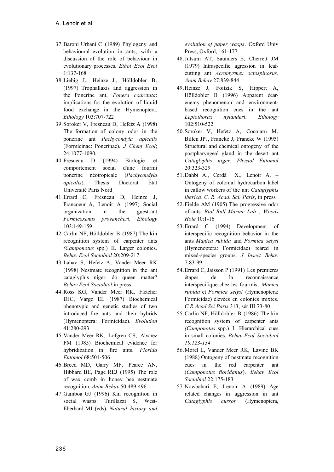- 37.Baroni Urbani C (1989) Phylogeny and behavioural evolution in ants, with a discussion of the role of behaviour in evolutionary processes. *Ethol Ecol Evol* 1:137-168
- 38.Liebig J., Heinze J., Hölldobler B. (1997) Trophallaxis and aggression in the Ponerine ant, *Ponera coarctata*: implications for the evolution of liquid food exchange in the Hymenoptera. *Ethology* 103:707-722
- 39.Soroker V, Fresneau D, Hefetz A (1998) The formation of colony odor in the ponerine ant *Pachycondyla apicalis* (Formicinae: Ponerinae). *J Chem Ecol*; 24:1077-1090.
- 40.Fresneau D (1994) Biologie et comportement social d'une fourmi ponérine néotropicale (*Pachycondyla apicalis*). Thesis Doctorat État Université Paris Nord
- 41.Errard C, Fresneau D, Heinze J, Francoeur A, Lenoir A (1997) Social organization in the guest-ant *Formicoxenus provancheri*. *Ethology* 103:149-159
- 42.Carlin NF, Hölldobler B (1987) The kin recognition system of carpenter ants *(Camponotus* spp.) II. Larger colonies. *Behav Ecol Sociobiol* 20:209-217
- 43.Lahav S, Hefetz A, Vander Meer RK (1998) Nestmate recognition in the ant cataglyphis niger: do queen matter? *Behav Ecol Sociobiol* in press*.*
- 44.Ross KG, Vander Meer RK, Fletcher DJC, Vargo EL (1987) Biochemical phenotypic and genetic studies of two introduced fire ants and their hybrids (Hymenoptera: Formicidae). *Evolution* 41:280-293
- 45.Vander Meer RK, Lofgren CS, Alvarez FM (1985) Biochemical evidence for hybridization in fire ants. *Florida Entomol* 68:501-506
- 46.Breed MD, Garry MF, Pearce AN, Hibbard BE, Page REJ (1995) The role of wax comb in honey bee nestmate recognition. *Anim Behav* 50:489-496
- 47.Gamboa GJ (1996) Kin recognition in social wasps. Turillazzi S, West-Eberhard MJ (eds). *Natural history and*

*evolution of paper wasps*. Oxford Univ Press, Oxford, 161-177

- 48.Jutsum AT, Saunders E, Cherrett JM (1979) Intraspecific agression in leafcutting ant *Acromyrmex octospinosus*. *Anim Behav* 27:839-844
- 49.Heinze J, Foitzik S, Hippert A, Hölldobler B (1996) Apparent dearenemy phenomenon and environmentbased recognition cues in the ant *Leptothorax nylanderi*. *Ethology* 102:510-522
- 50.Soroker V, Hefetz A, Cocojaru M, Billen JPJ, Francke J, Francke W (1995) Structural and chemical ontogeny of the postpharyngeal gland in the desert ant *Cataglyphis niger*. *Physiol Entomol* 20:323-329
- 51.Dahbi A., Cerdá X., Lenoir A. Ontogeny of colonial hydrocarbon label in callow workers of the ant *Cataglyphis iberica*. *C. R. Acad. Sci. Paris*, in press
- 52.Fielde AM (1905) The progressive odor of ants. *Biol Bull Marine Lab , Woods Hole* 10:1-16
- 53.Errard C (1994) Development of interspecific recognition behavior in the ants *Manica rubida* and *Formica selysi* (Hymenoptera: Formicidae) reared in mixed-species groups. *J Insect Behav* 7:83-99
- 54.Errard C, Jaisson P (1991) Les premières étapes de la reconnaissance interspécifique chez les fourmis, *Manica rubida* et *Formica selysi* (Hymenoptera: Formicidae) élevées en colonies mixtes. *C R Acad Sci Paris* 313, sér III:73-80
- 55.Carlin NF, Hölldobler B (1986) The kin recognition system of carpenter ants *(Camponotus* spp.) I. Hierarchical cues in small colonies. *Behav Ecol Sociobiol 19,123-134*
- 56.Morel L, Vander Meer RK, Lavine BK (1988) Ontogeny of nestmate recognition cues in the red carpenter ant (*Camponotus floridanus*). *Behav Ecol Sociobiol* 22:175-183
- 57.Nowbahari E, Lenoir A (1989) Age related changes in aggression in ant *Cataglyphis cursor* (Hymenoptera,